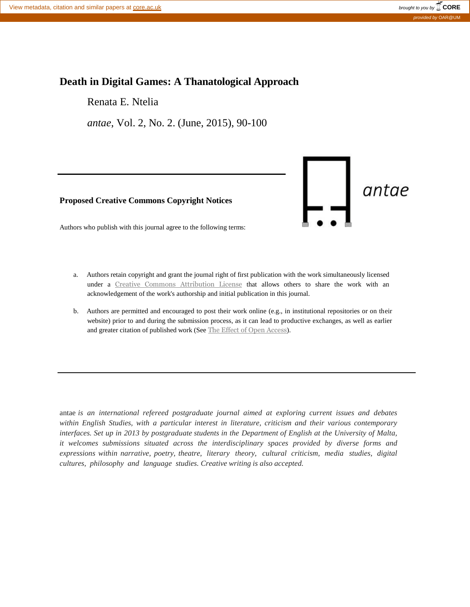# **Death in Digital Games: A Thanatological Approach**

Renata E. Ntelia

*antae*, Vol. 2, No. 2. (June, 2015), 90-100

**Proposed Creative Commons Copyright Notices**



Authors who publish with this journal agree to the following terms:

- a. Authors retain copyright and grant the journal right of first publication with the work simultaneously licensed under a Creative Commons [Attribution](http://creativecommons.org/licenses/by/3.0/) License that allows others to share the work with an acknowledgement of the work's authorship and initial publication in this journal.
- b. Authors are permitted and encouraged to post their work online (e.g., in institutional repositories or on their website) prior to and during the submission process, as it can lead to productive exchanges, as well as earlier and greater citation of published work (See The Effect of Open [Access](http://opcit.eprints.org/oacitation-biblio.html)).

antae *is an international refereed postgraduate journal aimed at exploring current issues and debates within English Studies, with a particular interest in literature, criticism and their various contemporary interfaces. Set up in 2013 by postgraduate students in the Department of English at the University of Malta, it welcomes submissions situated across the interdisciplinary spaces provided by diverse forms and expressions within narrative, poetry, theatre, literary theory, cultural criticism, media studies, digital cultures, philosophy and language studies. Creative writing is also accepted.*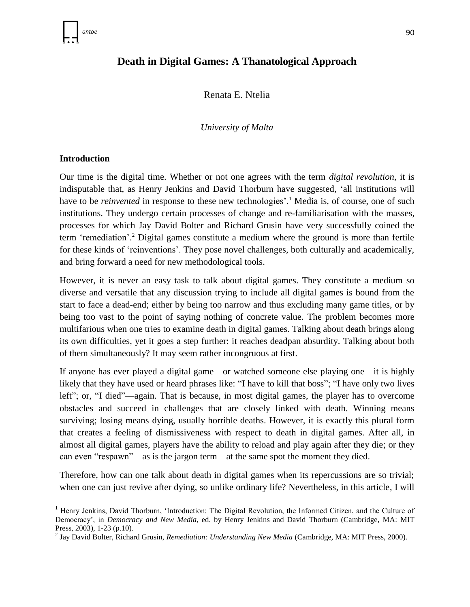# **Death in Digital Games: A Thanatological Approach**

Renata E. Ntelia

*University of Malta*

### **Introduction**

 $\overline{\phantom{a}}$ 

Our time is the digital time. Whether or not one agrees with the term *digital revolution*, it is indisputable that, as Henry Jenkins and David Thorburn have suggested, 'all institutions will have to be *reinvented* in response to these new technologies'.<sup>1</sup> Media is, of course, one of such institutions. They undergo certain processes of change and re-familiarisation with the masses, processes for which Jay David Bolter and Richard Grusin have very successfully coined the term 'remediation'. <sup>2</sup> Digital games constitute a medium where the ground is more than fertile for these kinds of 'reinventions'. They pose novel challenges, both culturally and academically, and bring forward a need for new methodological tools.

However, it is never an easy task to talk about digital games. They constitute a medium so diverse and versatile that any discussion trying to include all digital games is bound from the start to face a dead-end; either by being too narrow and thus excluding many game titles, or by being too vast to the point of saying nothing of concrete value. The problem becomes more multifarious when one tries to examine death in digital games. Talking about death brings along its own difficulties, yet it goes a step further: it reaches deadpan absurdity. Talking about both of them simultaneously? It may seem rather incongruous at first.

If anyone has ever played a digital game—or watched someone else playing one—it is highly likely that they have used or heard phrases like: "I have to kill that boss"; "I have only two lives left"; or, "I died"—again. That is because, in most digital games, the player has to overcome obstacles and succeed in challenges that are closely linked with death. Winning means surviving; losing means dying, usually horrible deaths. However, it is exactly this plural form that creates a feeling of dismissiveness with respect to death in digital games. After all, in almost all digital games, players have the ability to reload and play again after they die; or they can even "respawn"—as is the jargon term—at the same spot the moment they died.

Therefore, how can one talk about death in digital games when its repercussions are so trivial; when one can just revive after dying, so unlike ordinary life? Nevertheless, in this article, I will

<sup>&</sup>lt;sup>1</sup> Henry Jenkins, David Thorburn, 'Introduction: The Digital Revolution, the Informed Citizen, and the Culture of Democracy', in *Democracy and New Media*, ed. by Henry Jenkins and David Thorburn (Cambridge, MA: MIT Press, 2003), 1-23 (p.10).

<sup>2</sup> Jay David Bolter, Richard Grusin, *Remediation: Understanding New Media* (Cambridge, MA: MIT Press, 2000).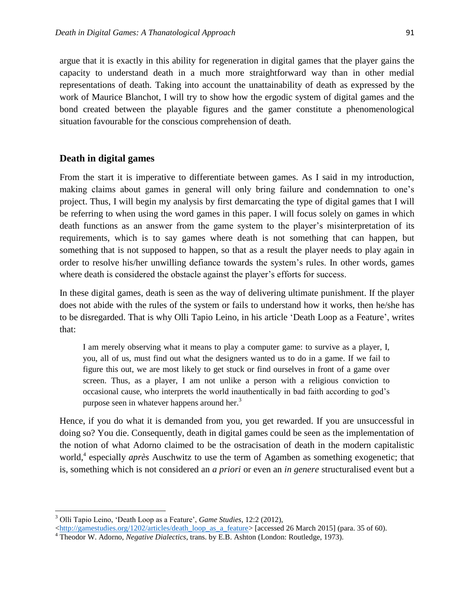argue that it is exactly in this ability for regeneration in digital games that the player gains the capacity to understand death in a much more straightforward way than in other medial representations of death. Taking into account the unattainability of death as expressed by the work of Maurice Blanchot, I will try to show how the ergodic system of digital games and the bond created between the playable figures and the gamer constitute a phenomenological situation favourable for the conscious comprehension of death.

### **Death in digital games**

From the start it is imperative to differentiate between games. As I said in my introduction, making claims about games in general will only bring failure and condemnation to one's project. Thus, I will begin my analysis by first demarcating the type of digital games that I will be referring to when using the word games in this paper. I will focus solely on games in which death functions as an answer from the game system to the player's misinterpretation of its requirements, which is to say games where death is not something that can happen, but something that is not supposed to happen, so that as a result the player needs to play again in order to resolve his/her unwilling defiance towards the system's rules. In other words, games where death is considered the obstacle against the player's efforts for success.

In these digital games, death is seen as the way of delivering ultimate punishment. If the player does not abide with the rules of the system or fails to understand how it works, then he/she has to be disregarded. That is why Olli Tapio Leino, in his article 'Death Loop as a Feature', writes that:

I am merely observing what it means to play a computer game: to survive as a player, I, you, all of us, must find out what the designers wanted us to do in a game. If we fail to figure this out, we are most likely to get stuck or find ourselves in front of a game over screen. Thus, as a player, I am not unlike a person with a religious conviction to occasional cause, who interprets the world inauthentically in bad faith according to god's purpose seen in whatever happens around her.<sup>3</sup>

Hence, if you do what it is demanded from you, you get rewarded. If you are unsuccessful in doing so? You die. Consequently, death in digital games could be seen as the implementation of the notion of what Adorno claimed to be the ostracisation of death in the modern capitalistic world, 4 especially *après* Auschwitz to use the term of Agamben as something exogenetic; that is, something which is not considered an *a priori* or even an *in genere* structuralised event but a

l

<sup>3</sup> Olli Tapio Leino, 'Death Loop as a Feature', *Game Studies*, 12:2 (2012),

 $\langle$ http://gamestudies.org/1202/articles/death\_loop\_as\_a\_feature> [accessed 26 March 2015] (para. 35 of 60).

<sup>4</sup> Theodor W. Adorno, *Negative Dialectics*, trans. by E.B. Ashton (London: Routledge, 1973).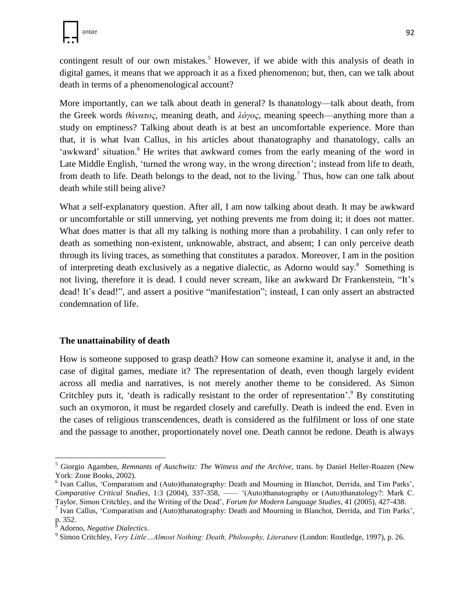contingent result of our own mistakes.<sup>5</sup> However, if we abide with this analysis of death in digital games, it means that we approach it as a fixed phenomenon; but, then, can we talk about death in terms of a phenomenological account?

More importantly, can we talk about death in general? Is thanatology—talk about death, from the Greek words *θάνατος*, meaning death, and *λόγος*, meaning speech—anything more than a study on emptiness? Talking about death is at best an uncomfortable experience. More than that, it is what Ivan Callus, in his articles about thanatography and thanatology, calls an 'awkward' situation.<sup>6</sup> He writes that awkward comes from the early meaning of the word in Late Middle English, 'turned the wrong way, in the wrong direction'; instead from life to death, from death to life. Death belongs to the dead, not to the living.<sup>7</sup> Thus, how can one talk about death while still being alive?

What a self-explanatory question. After all, I am now talking about death. It may be awkward or uncomfortable or still unnerving, yet nothing prevents me from doing it; it does not matter. What does matter is that all my talking is nothing more than a probability. I can only refer to death as something non-existent, unknowable, abstract, and absent; I can only perceive death through its living traces, as something that constitutes a paradox. Moreover, I am in the position of interpreting death exclusively as a negative dialectic, as Adorno would say.<sup>8</sup> Something is not living, therefore it is dead. I could never scream, like an awkward Dr Frankenstein, "It's dead! It's dead!", and assert a positive "manifestation"; instead, I can only assert an abstracted condemnation of life.

### **The unattainability of death**

How is someone supposed to grasp death? How can someone examine it, analyse it and, in the case of digital games, mediate it? The representation of death, even though largely evident across all media and narratives, is not merely another theme to be considered. As Simon Critchley puts it, 'death is radically resistant to the order of representation'.<sup>9</sup> By constituting such an oxymoron, it must be regarded closely and carefully. Death is indeed the end. Even in the cases of religious transcendences, death is considered as the fulfilment or loss of one state and the passage to another, proportionately novel one. Death cannot be redone. Death is always

l

<sup>5</sup> Giorgio Agamben, *Remnants of Auschwitz: The Witness and the Archive*, trans. by Daniel Heller-Roazen (New York: Zone Books, 2002).

<sup>&</sup>lt;sup>6</sup> Ivan Callus, 'Comparatism and (Auto)thanatography: Death and Mourning in Blanchot, Derrida, and Tim Parks', *Comparative Critical Studies*, 1:3 (2004), 337-358, —— '(Auto)thanatography or (Auto)thanatology?: Mark C. Taylor, Simon Critchley, and the Writing of the Dead', *Forum for Modern Language Studies*, 41 (2005), 427-438.

<sup>&</sup>lt;sup>7</sup> Ivan Callus, 'Comparatism and (Auto)thanatography: Death and Mourning in Blanchot, Derrida, and Tim Parks', p. 352.

<sup>8</sup> Adorno, *Negative Dialectics*.

<sup>9</sup> Simon Critchley, *Very Little…Almost Nothing: Death, Philosophy, Literature* (London: Routledge, 1997), p. 26.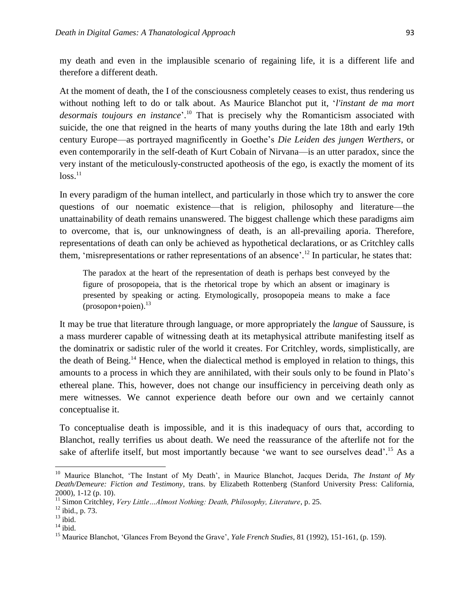my death and even in the implausible scenario of regaining life, it is a different life and therefore a different death.

At the moment of death, the I of the consciousness completely ceases to exist, thus rendering us without nothing left to do or talk about. As Maurice Blanchot put it, '*l'instant de ma mort desormais toujours en instance*'. <sup>10</sup> That is precisely why the Romanticism associated with suicide, the one that reigned in the hearts of many youths during the late 18th and early 19th century Europe—as portrayed magnificently in Goethe's *Die Leiden des jungen Werthers*, or even contemporarily in the self-death of Kurt Cobain of Nirvana—is an utter paradox, since the very instant of the meticulously-constructed apotheosis of the ego, is exactly the moment of its  $loss.<sup>11</sup>$ 

In every paradigm of the human intellect, and particularly in those which try to answer the core questions of our noematic existence—that is religion, philosophy and literature—the unattainability of death remains unanswered. The biggest challenge which these paradigms aim to overcome, that is, our unknowingness of death, is an all-prevailing aporia. Therefore, representations of death can only be achieved as hypothetical declarations, or as Critchley calls them, 'misrepresentations or rather representations of an absence'. <sup>12</sup> In particular, he states that:

The paradox at the heart of the representation of death is perhaps best conveyed by the figure of prosopopeia, that is the rhetorical trope by which an absent or imaginary is presented by speaking or acting. Etymologically, prosopopeia means to make a face (prosopon+poien). 13

It may be true that literature through language, or more appropriately the *langue* of Saussure, is a mass murderer capable of witnessing death at its metaphysical attribute manifesting itself as the dominatrix or sadistic ruler of the world it creates. For Critchley, words, simplistically, are the death of Being.<sup>14</sup> Hence, when the dialectical method is employed in relation to things, this amounts to a process in which they are annihilated, with their souls only to be found in Plato's ethereal plane. This, however, does not change our insufficiency in perceiving death only as mere witnesses. We cannot experience death before our own and we certainly cannot conceptualise it.

To conceptualise death is impossible, and it is this inadequacy of ours that, according to Blanchot, really terrifies us about death. We need the reassurance of the afterlife not for the sake of afterlife itself, but most importantly because 'we want to see ourselves dead'.<sup>15</sup> As a

 $\overline{a}$ 

<sup>10</sup> Maurice Blanchot, 'The Instant of My Death', in Maurice Blanchot, Jacques Derida, *The Instant of My Death/Demeure: Fiction and Testimony*, trans. by Elizabeth Rottenberg (Stanford University Press: California, 2000), 1-12 (p. 10).

<sup>&</sup>lt;sup>11</sup> Simon Critchley, *Very Little…Almost Nothing: Death, Philosophy, Literature*, p. 25.

 $12$  ibid., p. 73.

 $^{13}$ ibid.

 $^{\rm 14}$ ibid.

<sup>15</sup> Maurice Blanchot, 'Glances From Beyond the Grave', *Yale French Studies*, 81 (1992), 151-161, (p. 159).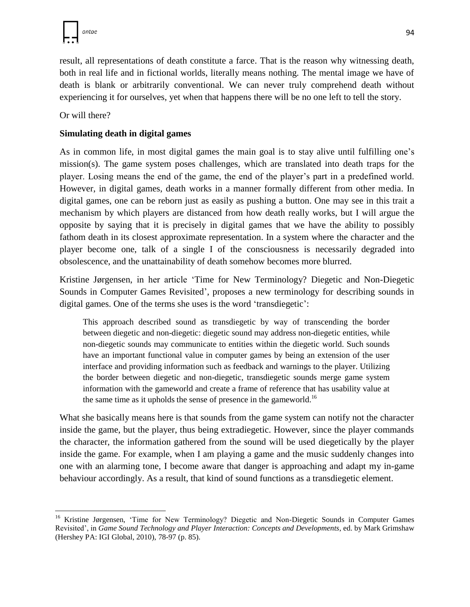result, all representations of death constitute a farce. That is the reason why witnessing death, both in real life and in fictional worlds, literally means nothing. The mental image we have of death is blank or arbitrarily conventional. We can never truly comprehend death without experiencing it for ourselves, yet when that happens there will be no one left to tell the story.

Or will there?

## **Simulating death in digital games**

As in common life, in most digital games the main goal is to stay alive until fulfilling one's mission(s). The game system poses challenges, which are translated into death traps for the player. Losing means the end of the game, the end of the player's part in a predefined world. However, in digital games, death works in a manner formally different from other media. In digital games, one can be reborn just as easily as pushing a button. One may see in this trait a mechanism by which players are distanced from how death really works, but I will argue the opposite by saying that it is precisely in digital games that we have the ability to possibly fathom death in its closest approximate representation. In a system where the character and the player become one, talk of a single I of the consciousness is necessarily degraded into obsolescence, and the unattainability of death somehow becomes more blurred.

Kristine Jørgensen, in her article 'Time for New Terminology? Diegetic and Non-Diegetic Sounds in Computer Games Revisited', proposes a new terminology for describing sounds in digital games. One of the terms she uses is the word 'transdiegetic':

This approach described sound as transdiegetic by way of transcending the border between diegetic and non-diegetic: diegetic sound may address non-diegetic entities, while non-diegetic sounds may communicate to entities within the diegetic world. Such sounds have an important functional value in computer games by being an extension of the user interface and providing information such as feedback and warnings to the player. Utilizing the border between diegetic and non-diegetic, transdiegetic sounds merge game system information with the gameworld and create a frame of reference that has usability value at the same time as it upholds the sense of presence in the gameworld.<sup>16</sup>

What she basically means here is that sounds from the game system can notify not the character inside the game, but the player, thus being extradiegetic. However, since the player commands the character, the information gathered from the sound will be used diegetically by the player inside the game. For example, when I am playing a game and the music suddenly changes into one with an alarming tone, I become aware that danger is approaching and adapt my in-game behaviour accordingly. As a result, that kind of sound functions as a transdiegetic element.

l <sup>16</sup> Kristine Jørgensen, 'Time for New Terminology? Diegetic and Non-Diegetic Sounds in Computer Games Revisited', in *Game Sound Technology and Player Interaction: Concepts and Developments*, ed. by Mark Grimshaw (Hershey PA: IGI Global, 2010), 78-97 (p. 85).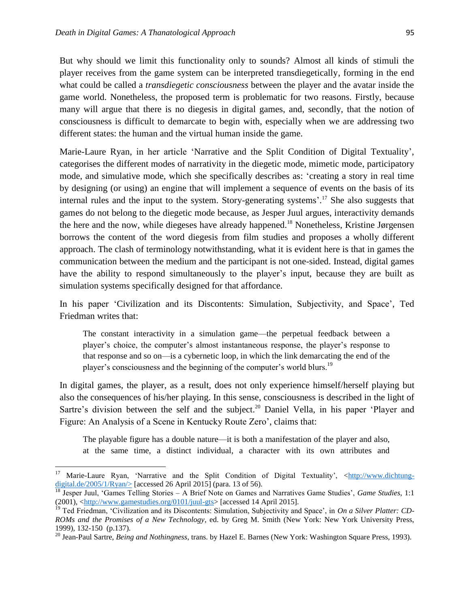$\overline{a}$ 

But why should we limit this functionality only to sounds? Almost all kinds of stimuli the player receives from the game system can be interpreted transdiegetically, forming in the end what could be called a *transdiegetic consciousness* between the player and the avatar inside the game world. Nonetheless, the proposed term is problematic for two reasons. Firstly, because many will argue that there is no diegesis in digital games, and, secondly, that the notion of consciousness is difficult to demarcate to begin with, especially when we are addressing two different states: the human and the virtual human inside the game.

Marie-Laure Ryan, in her article 'Narrative and the Split Condition of Digital Textuality', categorises the different modes of narrativity in the diegetic mode, mimetic mode, participatory mode, and simulative mode, which she specifically describes as: 'creating a story in real time by designing (or using) an engine that will implement a sequence of events on the basis of its internal rules and the input to the system. Story-generating systems'. <sup>17</sup> She also suggests that games do not belong to the diegetic mode because, as Jesper Juul argues, interactivity demands the here and the now, while diegeses have already happened.<sup>18</sup> Nonetheless, Kristine Jørgensen borrows the content of the word diegesis from film studies and proposes a wholly different approach. The clash of terminology notwithstanding, what it is evident here is that in games the communication between the medium and the participant is not one-sided. Instead, digital games have the ability to respond simultaneously to the player's input, because they are built as simulation systems specifically designed for that affordance.

In his paper 'Civilization and its Discontents: Simulation, Subjectivity, and Space', Ted Friedman writes that:

The constant interactivity in a simulation game—the perpetual feedback between a player's choice, the computer's almost instantaneous response, the player's response to that response and so on—is a cybernetic loop, in which the link demarcating the end of the player's consciousness and the beginning of the computer's world blurs.<sup>19</sup>

In digital games, the player, as a result, does not only experience himself/herself playing but also the consequences of his/her playing. In this sense, consciousness is described in the light of Sartre's division between the self and the subject.<sup>20</sup> Daniel Vella, in his paper 'Player and Figure: An Analysis of a Scene in Kentucky Route Zero', claims that:

The playable figure has a double nature—it is both a manifestation of the player and also, at the same time, a distinct individual, a character with its own attributes and

<sup>&</sup>lt;sup>17</sup> Marie-Laure Ryan, 'Narrative and the Split Condition of Digital Textuality', [<http://www.dichtung](http://www.dichtung-digital.de/2005/1/Ryan/%3e)digital.de/2005/1/Ryan/ $>$  [accessed 26 April 2015] (para. 13 of 56).

<sup>18</sup> Jesper Juul, 'Games Telling Stories – A Brief Note on Games and Narratives Game Studies', *Game Studies*, 1:1  $(2001)$ , [<http://www.gamestudies.org/0101/juul-gts>](http://www.gamestudies.org/0101/juul-gts) [accessed 14 April 2015].

<sup>&</sup>lt;sup>19</sup> Ted Friedman, 'Civilization and its Discontents: Simulation, Subjectivity and Space', in *On a Silver Platter: CD-ROMs and the Promises of a New Technology*, ed. by Greg M. Smith (New York: New York University Press, 1999), 132-150 (p.137).

<sup>20</sup> Jean-Paul Sartre, *Being and Nothingness*, trans. by Hazel E. Barnes (New York: Washington Square Press, 1993).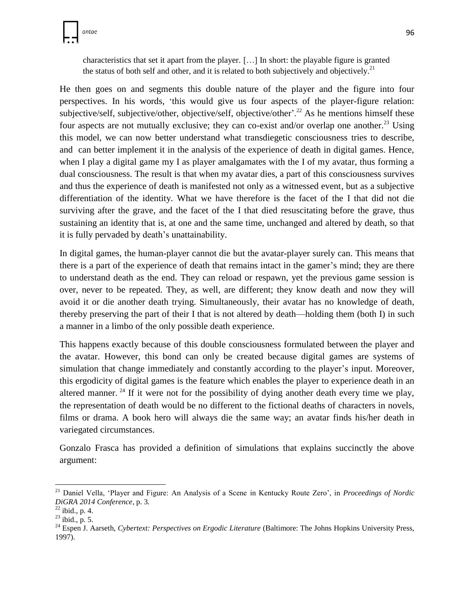

characteristics that set it apart from the player. […] In short: the playable figure is granted the status of both self and other, and it is related to both subjectively and objectively.<sup>21</sup>

He then goes on and segments this double nature of the player and the figure into four perspectives. In his words, 'this would give us four aspects of the player-figure relation: subjective/self, subjective/other, objective/self, objective/other'.<sup>22</sup> As he mentions himself these four aspects are not mutually exclusive; they can co-exist and/or overlap one another.<sup>23</sup> Using this model, we can now better understand what transdiegetic consciousness tries to describe, and can better implement it in the analysis of the experience of death in digital games. Hence, when I play a digital game my I as player amalgamates with the I of my avatar, thus forming a dual consciousness. The result is that when my avatar dies, a part of this consciousness survives and thus the experience of death is manifested not only as a witnessed event, but as a subjective differentiation of the identity. What we have therefore is the facet of the I that did not die surviving after the grave, and the facet of the I that died resuscitating before the grave, thus sustaining an identity that is, at one and the same time, unchanged and altered by death, so that it is fully pervaded by death's unattainability.

In digital games, the human-player cannot die but the avatar-player surely can. This means that there is a part of the experience of death that remains intact in the gamer's mind; they are there to understand death as the end. They can reload or respawn, yet the previous game session is over, never to be repeated. They, as well, are different; they know death and now they will avoid it or die another death trying. Simultaneously, their avatar has no knowledge of death, thereby preserving the part of their I that is not altered by death—holding them (both I) in such a manner in a limbo of the only possible death experience.

This happens exactly because of this double consciousness formulated between the player and the avatar. However, this bond can only be created because digital games are systems of simulation that change immediately and constantly according to the player's input. Moreover, this ergodicity of digital games is the feature which enables the player to experience death in an altered manner.<sup>24</sup> If it were not for the possibility of dying another death every time we play, the representation of death would be no different to the fictional deaths of characters in novels, films or drama. A book hero will always die the same way; an avatar finds his/her death in variegated circumstances.

Gonzalo Frasca has provided a definition of simulations that explains succinctly the above argument:

 $\overline{\phantom{a}}$ 

<sup>21</sup> Daniel Vella, 'Player and Figure: An Analysis of a Scene in Kentucky Route Zero', in *Proceedings of Nordic DiGRA 2014 Conference*, p. 3.

 $22$  ibid., p. 4.

 $^{23}$  ibid., p. 5.

<sup>&</sup>lt;sup>24</sup> Espen J. Aarseth, *Cybertext: Perspectives on Ergodic Literature* (Baltimore: The Johns Hopkins University Press, 1997).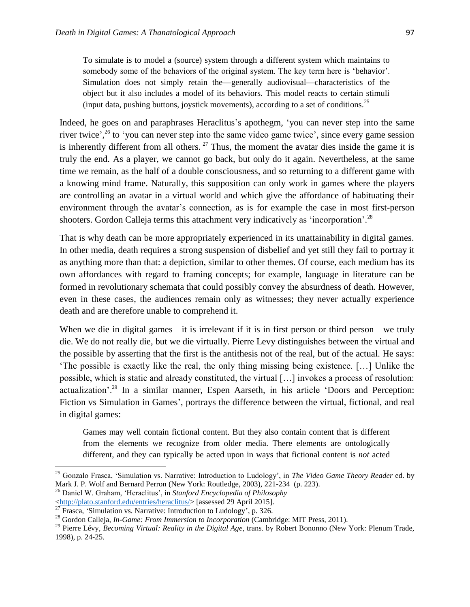To simulate is to model a (source) system through a different system which maintains to somebody some of the behaviors of the original system. The key term here is 'behavior'. Simulation does not simply retain the—generally audiovisual—characteristics of the object but it also includes a model of its behaviors. This model reacts to certain stimuli (input data, pushing buttons, joystick movements), according to a set of conditions.<sup>25</sup>

Indeed, he goes on and paraphrases Heraclitus's apothegm, 'you can never step into the same river twice',<sup>26</sup> to 'you can never step into the same video game twice', since every game session is inherently different from all others.  $27$  Thus, the moment the avatar dies inside the game it is truly the end. As a player, we cannot go back, but only do it again. Nevertheless, at the same time *we* remain, as the half of a double consciousness, and so returning to a different game with a knowing mind frame. Naturally, this supposition can only work in games where the players are controlling an avatar in a virtual world and which give the affordance of habituating their environment through the avatar's connection, as is for example the case in most first-person shooters. Gordon Calleja terms this attachment very indicatively as 'incorporation'.<sup>28</sup>

That is why death can be more appropriately experienced in its unattainability in digital games. In other media, death requires a strong suspension of disbelief and yet still they fail to portray it as anything more than that: a depiction, similar to other themes. Of course, each medium has its own affordances with regard to framing concepts; for example, language in literature can be formed in revolutionary schemata that could possibly convey the absurdness of death. However, even in these cases, the audiences remain only as witnesses; they never actually experience death and are therefore unable to comprehend it.

When we die in digital games—it is irrelevant if it is in first person or third person—we truly die. We do not really die, but we die virtually. Pierre Levy distinguishes between the virtual and the possible by asserting that the first is the antithesis not of the real, but of the actual. He says: 'The possible is exactly like the real, the only thing missing being existence. […] Unlike the possible, which is static and already constituted, the virtual […] invokes a process of resolution: actualization'.<sup>29</sup> In a similar manner, Espen Aarseth, in his article 'Doors and Perception: Fiction vs Simulation in Games', portrays the difference between the virtual, fictional, and real in digital games:

Games may well contain fictional content. But they also contain content that is different from the elements we recognize from older media. There elements are ontologically different, and they can typically be acted upon in ways that fictional content is *not* acted

 $\overline{a}$ 

<sup>25</sup> Gonzalo Frasca, 'Simulation vs. Narrative: Introduction to Ludology', in *The Video Game Theory Reader* ed. by Mark J. P. Wolf and Bernard Perron (New York: Routledge, 2003), 221-234 (p. 223).

<sup>26</sup> Daniel W. Graham, 'Heraclitus', in *Stanford Encyclopedia of Philosophy*

[<sup>&</sup>lt;http://plato.stanford.edu/entries/heraclitus/>](http://plato.stanford.edu/entries/heraclitus/) [assessed 29 April 2015].

 $\frac{27}{27}$  Frasca, 'Simulation vs. Narrative: Introduction to Ludology', p. 326.

<sup>28</sup> Gordon Calleja, *In-Game: From Immersion to Incorporation* (Cambridge: MIT Press, 2011).

<sup>&</sup>lt;sup>29</sup> Pierre Lévy, *Becoming Virtual: Reality in the Digital Age*, trans. by Robert Bononno (New York: Plenum Trade, 1998), p. 24-25.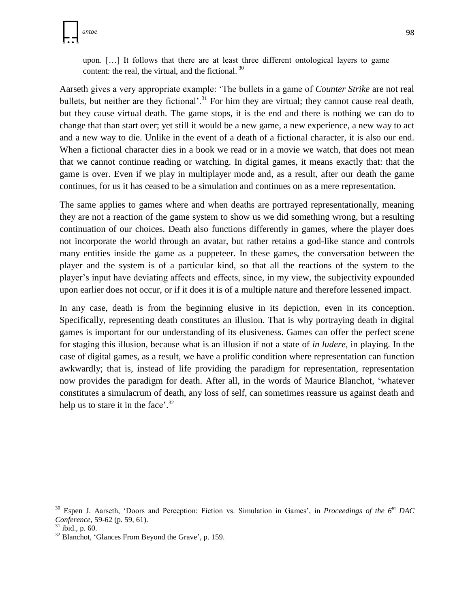upon. […] It follows that there are at least three different ontological layers to game content: the real, the virtual, and the fictional. <sup>30</sup>

Aarseth gives a very appropriate example: 'The bullets in a game of *Counter Strike* are not real bullets, but neither are they fictional'.<sup>31</sup> For him they are virtual; they cannot cause real death, but they cause virtual death. The game stops, it is the end and there is nothing we can do to change that than start over; yet still it would be a new game, a new experience, a new way to act and a new way to die. Unlike in the event of a death of a fictional character, it is also our end. When a fictional character dies in a book we read or in a movie we watch, that does not mean that we cannot continue reading or watching. In digital games, it means exactly that: that the game is over. Even if we play in multiplayer mode and, as a result, after our death the game continues, for us it has ceased to be a simulation and continues on as a mere representation.

The same applies to games where and when deaths are portrayed representationally, meaning they are not a reaction of the game system to show us we did something wrong, but a resulting continuation of our choices. Death also functions differently in games, where the player does not incorporate the world through an avatar, but rather retains a god-like stance and controls many entities inside the game as a puppeteer. In these games, the conversation between the player and the system is of a particular kind, so that all the reactions of the system to the player's input have deviating affects and effects, since, in my view, the subjectivity expounded upon earlier does not occur, or if it does it is of a multiple nature and therefore lessened impact.

In any case, death is from the beginning elusive in its depiction, even in its conception. Specifically, representing death constitutes an illusion. That is why portraying death in digital games is important for our understanding of its elusiveness. Games can offer the perfect scene for staging this illusion, because what is an illusion if not a state of *in ludere*, in playing. In the case of digital games, as a result, we have a prolific condition where representation can function awkwardly; that is, instead of life providing the paradigm for representation, representation now provides the paradigm for death. After all, in the words of Maurice Blanchot, 'whatever constitutes a simulacrum of death, any loss of self, can sometimes reassure us against death and help us to stare it in the face'.<sup>32</sup>

 $\overline{\phantom{a}}$ 

<sup>30</sup> Espen J. Aarseth, 'Doors and Perception: Fiction vs. Simulation in Games', in *Proceedings of the 6th DAC Conference,* 59-62 (p. 59, 61).

 $31$  ibid., p. 60.

 $32$  Blanchot, 'Glances From Beyond the Grave', p. 159.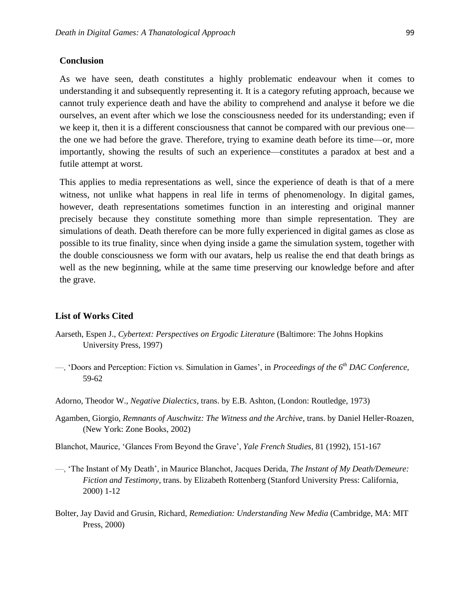#### **Conclusion**

As we have seen, death constitutes a highly problematic endeavour when it comes to understanding it and subsequently representing it. It is a category refuting approach, because we cannot truly experience death and have the ability to comprehend and analyse it before we die ourselves, an event after which we lose the consciousness needed for its understanding; even if we keep it, then it is a different consciousness that cannot be compared with our previous one the one we had before the grave. Therefore, trying to examine death before its time—or, more importantly, showing the results of such an experience—constitutes a paradox at best and a futile attempt at worst.

This applies to media representations as well, since the experience of death is that of a mere witness, not unlike what happens in real life in terms of phenomenology. In digital games, however, death representations sometimes function in an interesting and original manner precisely because they constitute something more than simple representation. They are simulations of death. Death therefore can be more fully experienced in digital games as close as possible to its true finality, since when dying inside a game the simulation system, together with the double consciousness we form with our avatars, help us realise the end that death brings as well as the new beginning, while at the same time preserving our knowledge before and after the grave.

#### **List of Works Cited**

- Aarseth, Espen J., *Cybertext: Perspectives on Ergodic Literature* (Baltimore: The Johns Hopkins University Press, 1997)
- —, 'Doors and Perception: Fiction vs. Simulation in Games', in *Proceedings of the 6th DAC Conference,*  59-62
- Adorno, Theodor W., *Negative Dialectics*, trans. by E.B. Ashton, (London: Routledge, 1973)
- Agamben, Giorgio, *Remnants of Auschwitz: The Witness and the Archive*, trans. by Daniel Heller-Roazen, (New York: Zone Books, 2002)
- Blanchot, Maurice, 'Glances From Beyond the Grave', *Yale French Studies*, 81 (1992), 151-167
- —, 'The Instant of My Death', in Maurice Blanchot, Jacques Derida, *The Instant of My Death/Demeure: Fiction and Testimony*, trans. by Elizabeth Rottenberg (Stanford University Press: California, 2000) 1-12
- Bolter, Jay David and Grusin, Richard, *Remediation: Understanding New Media* (Cambridge, MA: MIT Press, 2000)